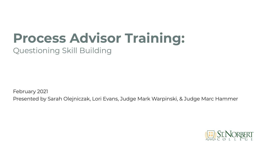# **Process Advisor Training:**

Questioning Skill Building

February 2021

Presented by Sarah Olejniczak, Lori Evans, Judge Mark Warpinski, & Judge Marc Hammer

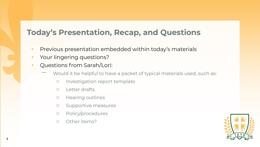#### **Today's Presentation, Recap, and Questions**

- **•** Previous presentation embedded within today's materials
- **•** Your lingering questions?
- Questions from Sarah/Lori:
	- Would it be helpful to have a packet of typical materials used, such as:
		- Investigation report template
		- Letter drafts
		- Hearing outlines
		- Supportive measures
		- Policy/procedures
		- Other items?

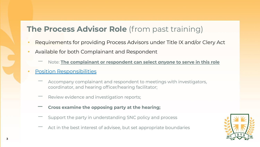#### **The Process Advisor Role** (from past training)

- Requirements for providing Process Advisors under Title IX and/or Clery Act
- Available for both Complainant and Respondent
	- ̶ Note: **The complainant or respondent can select** *anyone* **to serve in this role**
- **[Position Responsibilities](https://drive.google.com/file/d/19X7yroA8RTVLaSzH-UZN-pHf9LEe1TtH/view?usp=sharing)** 
	- Accompany complainant and respondent to meetings with investigators, coordinator, and hearing officer/hearing facilitator;
	- Review evidence and investigation reports;
	- **̶ Cross examine the opposing party at the hearing;**
	- ̶ Support the party in understanding SNC policy and process
	- Act in the best interest of advisee, but set appropriate boundaries

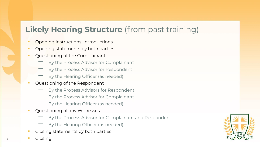### **Likely Hearing Structure** (from past training)

- Opening instructions, introductions
- Opening statements by both parties
- Questioning of the Complainant
	- ̶ By the Process Advisor for Complainant
	- ̶ By the Process Advisor for Respondent
	- By the Hearing Officer (as needed)
- Questioning of the Respondent
	- ̶ By the Process Advisors for Respondent
	- ̶ By the Process Advisor for Complainant
	- By the Hearing Officer (as needed)
- Questioning of any Witnesses
	- ̶ By the Process Advisor for Complainant and Respondent
	- By the Hearing Officer (as needed)
- Closing statements by both parties
- **<sup>4</sup>** Closing

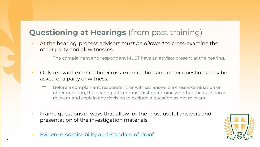### **Questioning at Hearings** (from past training)

- At the hearing, process advisors *must be allowed* to cross-examine the other party and all witnesses.
	- ̶ The complainant and respondent MUST have an advisor present at the hearing.
- Only relevant examination/cross-examination and other questions may be asked of a party or witness.
	- ̶ Before a complainant, respondent, or witness answers a cross-examination or other question, the hearing officer must first determine whether the question is relevant and explain any decision to exclude a question as not relevant.
- **•** Frame questions in ways that allow for the most useful answers and presentation of the investigation materials.



**[Evidence Admissibility and Standard of Proof](https://drive.google.com/file/d/1wvyjHr0PkOAbsmgtZswLr4RIKFVB1yV4/view?usp=sharing)**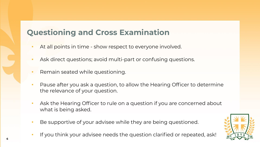#### **Questioning and Cross Examination**

- At all points in time show respect to everyone involved.
- Ask direct questions; avoid multi-part or confusing questions.
- Remain seated while questioning.
- Pause after you ask a question, to allow the Hearing Officer to determine the relevance of your question.
- Ask the Hearing Officer to rule on a question if you are concerned about what is being asked.
- Be supportive of your advisee while they are being questioned.
- If you think your advisee needs the question clarified or repeated, ask!

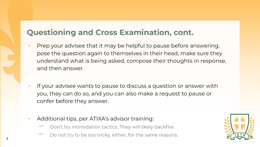#### **Questioning and Cross Examination, cont.**

- Prep your advisee that it may be helpful to pause before answering, pose the question again to themselves in their head, make sure they understand what is being asked, compose their thoughts in response, and then answer.
- If your advisee wants to pause to discuss a question or answer with you, they can do so, and you can also make a request to pause or confer before they answer.
- Additional tips, per ATIXA's advisor training:
	- Don't try intimidation tactics. They will likely backfire.
	- Do not try to be too tricky, either, for the same reasons.

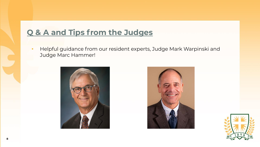### **Q & A and Tips from the Judges**

**·** Helpful guidance from our resident experts, Judge Mark Warpinski and Judge Marc Hammer!





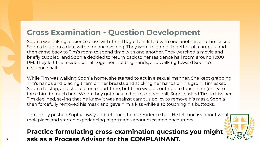### **Cross Examination - Question Development**

Sophia was taking a science class with Tim. They often flirted with one another, and Tim asked Sophia to go on a date with him one evening. They went to dinner together off campus, and then came back to Tim's room to spend time with one another. They watched a movie and briefly cuddled, and Sophia decided to return back to her residence hall room around 10:00 PM. They left the residence hall together, holding hands, and walking toward Sophia's residence hall.

While Tim was walking Sophia home, she started to act in a sexual manner. She kept grabbing Tim's hands and placing them on her breasts and sticking her hands on his groin. Tim asked Sophia to stop, and she did for a short time, but then would continue to touch him (or try to force him to touch her). When they got back to her residence hall, Sophia asked Tim to kiss her. Tim declined, saying that he knew it was against campus policy to remove his mask. Sophia then forcefully removed his mask and gave him a kiss while also touching his buttocks.

Tim lightly pushed Sophia away and returned to his residence hall. He felt uneasy about what took place and started experiencing nightmares about escalated encounters.

#### **Practice formulating cross-examination questions you might ask as a Process Advisor for the COMPLAINANT. <sup>9</sup>**

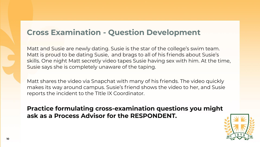#### **Cross Examination - Question Development**

Matt and Susie are newly dating. Susie is the star of the college's swim team. Matt is proud to be dating Susie, and brags to all of his friends about Susie's skills. One night Matt secretly video tapes Susie having sex with him. At the time, Susie says she is completely unaware of the taping.

Matt shares the video via Snapchat with many of his friends. The video quickly makes its way around campus. Susie's friend shows the video to her, and Susie reports the incident to the TItle IX Coordinator.

**Practice formulating cross-examination questions you might ask as a Process Advisor for the RESPONDENT.**

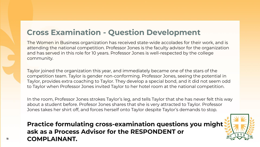#### **Cross Examination - Question Development**

The Women in Business organization has received state-wide accolades for their work, and is attending the national competition. Professor Jones is the faculty advisor for the organization and has served in this role for 10 years. Professor Jones is well-respected by the college community.

Taylor joined the organization this year, and immediately became one of the stars of the competition team. Taylor is gender non-conforming. Professor Jones, seeing the potential in Taylor, provides extra coaching to Taylor. They develop a special bond, and it did not seem odd to Taylor when Professor Jones invited Taylor to her hotel room at the national competition.

In the room, Professor Jones strokes Taylor's leg, and tells Taylor that she has never felt this way about a student before. Profesor Jones shares that she is very attracted to Taylor. Professor Jones takes her shirt off, and forces herself onto Taylor despite Taylor's demands to stop.

**Practice formulating cross-examination questions you might ask as a Process Advisor for the RESPONDENT or COMPLAINANT. <sup>11</sup>**